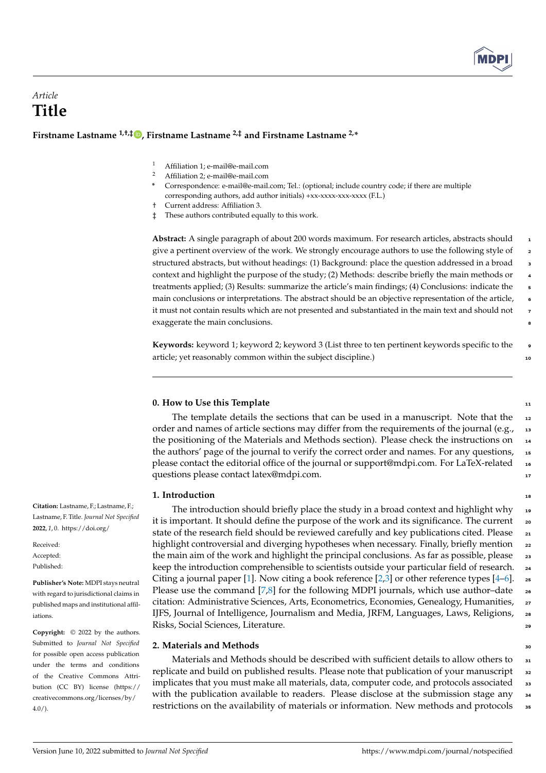

# *Article* **Title**

## **Firstname Lastname 1,†,‡ [,](https://orcid.org/0000-0000-0000-000X) Firstname Lastname 2,‡ and Firstname Lastname 2,\***

- <sup>1</sup> Affiliation 1; e-mail@e-mail.com
- <sup>2</sup> Affiliation 2; e-mail@e-mail.com
- **\*** Correspondence: e-mail@e-mail.com; Tel.: (optional; include country code; if there are multiple corresponding authors, add author initials) +xx-xxxx-xxx-xxxx (F.L.)
- † Current address: Affiliation 3.
- ‡ These authors contributed equally to this work.

**Abstract:** A single paragraph of about 200 words maximum. For research articles, abstracts should <sup>1</sup> give a pertinent overview of the work. We strongly encourage authors to use the following style of 2 structured abstracts, but without headings: (1) Background: place the question addressed in a broad 3 context and highlight the purpose of the study; (2) Methods: describe briefly the main methods or <sup>4</sup> treatments applied; (3) Results: summarize the article's main findings; (4) Conclusions: indicate the 5 main conclusions or interpretations. The abstract should be an objective representation of the article, <sup>6</sup> it must not contain results which are not presented and substantiated in the main text and should not <sup>7</sup> exaggerate the main conclusions.

**Keywords:** keyword 1; keyword 2; keyword 3 (List three to ten pertinent keywords specific to the <sup>9</sup> article; yet reasonably common within the subject discipline.) 10

## **0. How to Use this Template** 11 and 12 and 12 and 12 and 12 and 12 and 12 and 12 and 12 and 12 and 12 and 12 and 12 and 12 and 12 and 12 and 12 and 12 and 12 and 12 and 12 and 12 and 12 and 12 and 12 and 12 and 12 and 12

The template details the sections that can be used in a manuscript. Note that the  $\frac{12}{12}$ order and names of article sections may differ from the requirements of the journal (e.g., 13 the positioning of the Materials and Methods section). Please check the instructions on <sup>14</sup> the authors' page of the journal to verify the correct order and names. For any questions,  $_{15}$ please contact the editorial office of the journal or support@mdpi.com. For LaTeX-related <sup>16</sup> questions please contact latex@mdpi.com. 17

#### **1.** Introduction **18**

The introduction should briefly place the study in a broad context and highlight why  $\frac{1}{19}$ it is important. It should define the purpose of the work and its significance. The current  $\sim$ state of the research field should be reviewed carefully and key publications cited. Please  $\frac{1}{21}$ highlight controversial and diverging hypotheses when necessary. Finally, briefly mention 22 the main aim of the work and highlight the principal conclusions. As far as possible, please  $\frac{2}{3}$ keep the introduction comprehensible to scientists outside your particular field of research. 24 Citing a journal paper [\[1\]](#page-4-0). Now citing a book reference [\[2](#page-4-1)[,3\]](#page-4-2) or other reference types [\[4](#page-4-3)[–6\]](#page-4-4).  $\epsilon$ Please use the command  $[7,8]$  $[7,8]$  for the following MDPI journals, which use author-date  $\rightarrow$ citation: Administrative Sciences, Arts, Econometrics, Economies, Genealogy, Humanities, <sub>27</sub> IJFS, Journal of Intelligence, Journalism and Media, JRFM, Languages, Laws, Religions, 28 Risks, Social Sciences, Literature. <sup>29</sup>

## **2. Materials and Methods** 30

Materials and Methods should be described with sufficient details to allow others to  $\frac{1}{31}$ replicate and build on published results. Please note that publication of your manuscript <sup>32</sup> implicates that you must make all materials, data, computer code, and protocols associated <sup>33</sup> with the publication available to readers. Please disclose at the submission stage any <sup>34</sup> restrictions on the availability of materials or information. New methods and protocols <sup>35</sup>

**Citation:** Lastname, F.; Lastname, F.; Lastname, F. Title. *Journal Not Specified* **2022**, *1*, 0. [https://doi.org/](https://doi.org/10.3390/1010000)

Received: Accepted: Published:

**Publisher's Note:** MDPI stays neutral with regard to jurisdictional claims in published maps and institutional affiliations.

**Copyright:** © 2022 by the authors. Submitted to *Journal Not Specified* for possible open access publication under the terms and conditions of the Creative Commons Attribution (CC BY) license [\(https://](https://creativecommons.org/licenses/by/4.0/) [creativecommons.org/licenses/by/](https://creativecommons.org/licenses/by/4.0/) 4.0/).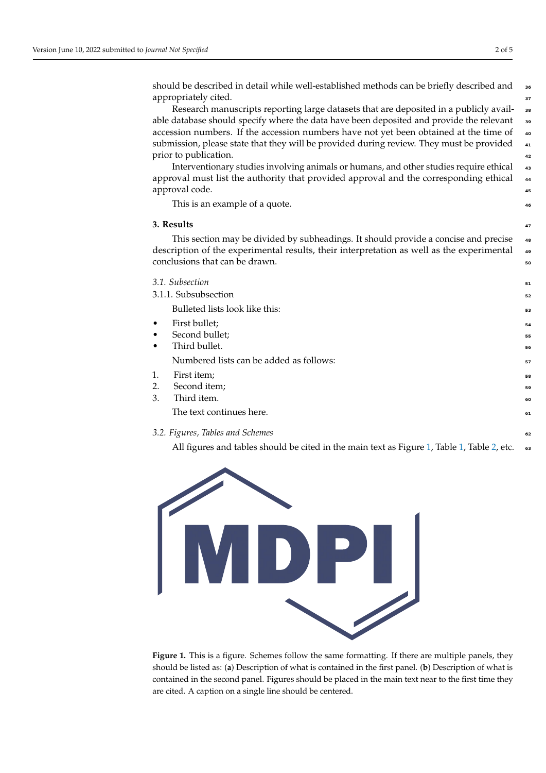should be described in detail while well-established methods can be briefly described and <sup>36</sup> appropriately cited.  $\frac{3}{27}$ 

Research manuscripts reporting large datasets that are deposited in a publicly available database should specify where the data have been deposited and provide the relevant <sup>39</sup> accession numbers. If the accession numbers have not yet been obtained at the time of  $\bullet$ submission, please state that they will be provided during review. They must be provided 41 prior to publication.  $\frac{42}{2}$ 

Interventionary studies involving animals or humans, and other studies require ethical <sup>43</sup> approval must list the authority that provided approval and the corresponding ethical <sup>44</sup> approval code.  $\frac{45}{45}$ 

This is an example of a quote.  $\bullet$ 

#### **3. Results** <sup>47</sup>

This section may be divided by subheadings. It should provide a concise and precise  $\bullet$ description of the experimental results, their interpretation as well as the experimental <sup>49</sup> conclusions that can be drawn.  $\frac{1}{20}$  solutions that can be drawn.

|                      | 3.1. Subsection                         | 51 |
|----------------------|-----------------------------------------|----|
| 3.1.1. Subsubsection |                                         | 52 |
|                      | Bulleted lists look like this:          | 53 |
| $\bullet$            | First bullet;                           | 54 |
| $\bullet$            | Second bullet;                          | 55 |
|                      | Third bullet.                           | 56 |
|                      | Numbered lists can be added as follows: | 57 |
| 1.                   | First item;                             | 58 |
| 2.                   | Second item;                            | 59 |
| 3.                   | Third item.                             | 60 |
|                      | The text continues here.                | 61 |
|                      | 3.2. Figures, Tables and Schemes        |    |

All figures and tables should be cited in the main text as Figure [1,](#page-2-0) Table 1, Table [2,](#page-2-1) etc. <sup>63</sup>

<span id="page-1-0"></span>

**Figure 1.** This is a figure. Schemes follow the same formatting. If there are multiple panels, they should be listed as: (**a**) Description of what is contained in the first panel. (**b**) Description of what is contained in the second panel. Figures should be placed in the main text near to the first time they are cited. A caption on a single line should be centered.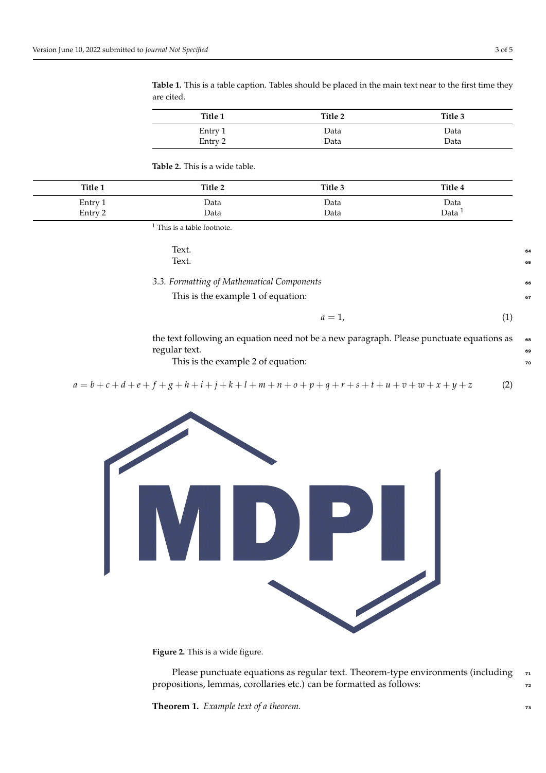<span id="page-2-0"></span>**Table 1.** This is a table caption. Tables should be placed in the main text near to the first time they are cited.

| Title 1 | Title 2 | Title 3 |
|---------|---------|---------|
| Entry 1 | Data    | Data    |
| Entry 2 | Data    | Data    |

<span id="page-2-1"></span>**Table 2.** This is a wide table.

| Title 1 | Title 2 | Title 3 | Title 4           |
|---------|---------|---------|-------------------|
| Entry 1 | Data    | Data    | Data              |
| Entry 2 | Data    | Data    | Data <sup>1</sup> |

 $1$  This is a table footnote.

| Text.                                                                                     | 64 |
|-------------------------------------------------------------------------------------------|----|
| Text.                                                                                     | 65 |
| 3.3. Formatting of Mathematical Components                                                | 66 |
| This is the example 1 of equation:                                                        | 67 |
| $a=1$ .                                                                                   |    |
| the text following an equation need not be a new paragraph. Please punctuate equations as | 68 |

regular text.

 $a = b + c + d + e + f + g + h + i + j + k + l + m + n + o + p + q + r + s + t + u + v + w + x + y + z$  (2)

This is the example 2 of equation:



**Figure 2.** This is a wide figure.

Please punctuate equations as regular text. Theorem-type environments (including 71 propositions, lemmas, corollaries etc.) can be formatted as follows:  $\frac{1}{2}$ 

**Theorem 1.** *Example text of a theorem. 73*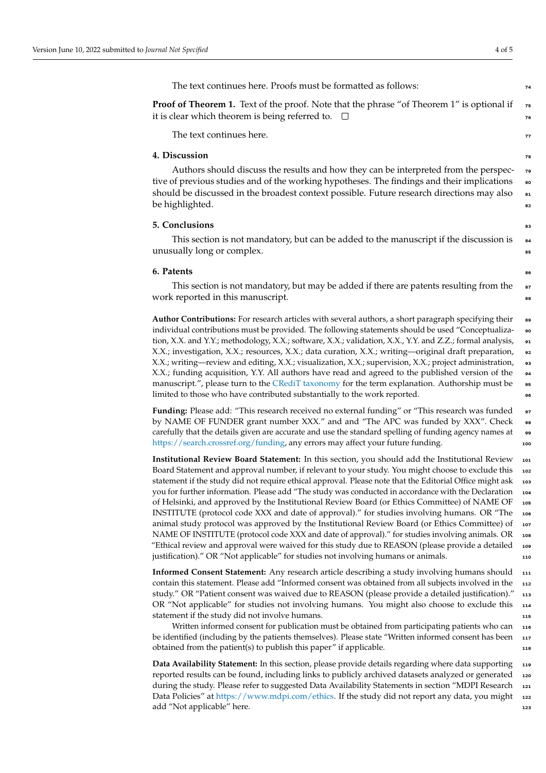The text continues here. Proofs must be formatted as follows:  $\frac{74}{14}$ 

**Proof of Theorem 1.** Text of the proof. Note that the phrase "of Theorem 1" is optional if it is clear which theorem is being referred to.  $\Box$ 

The text continues here. The state of the state of the state of the state of the state of the state of the state of the state of the state of the state of the state of the state of the state of the state of the state of th

## **4. Discussion**

Authors should discuss the results and how they can be interpreted from the perspective of previous studies and of the working hypotheses. The findings and their implications should be discussed in the broadest context possible. Future research directions may also  $\bullet$ 1 be highlighted. So a set of the set of the set of the set of the set of the set of the set of the set of the set of the set of the set of the set of the set of the set of the set of the set of the set of the set of the set

#### **5. Conclusions** 83

This section is not mandatory, but can be added to the manuscript if the discussion is  $\frac{1}{84}$ unusually long or complex. <sup>85</sup>

#### **6. Patents** 86

This section is not mandatory, but may be added if there are patents resulting from the  $\bullet$ work reported in this manuscript.

**Author Contributions:** For research articles with several authors, a short paragraph specifying their <sup>89</sup> individual contributions must be provided. The following statements should be used "Conceptualization, X.X. and Y.Y.; methodology, X.X.; software, X.X.; validation, X.X., Y.Y. and Z.Z.; formal analysis, <sup>91</sup> X.X.; investigation, X.X.; resources, X.X.; data curation, X.X.; writing—original draft preparation, 92 X.X.; writing—review and editing, X.X.; visualization, X.X.; supervision, X.X.; project administration, <sup>93</sup> X.X.; funding acquisition, Y.Y. All authors have read and agreed to the published version of the <sup>94</sup> manuscript.", please turn to the [CRediT taxonomy](http://img.mdpi.org/data/contributor-role-instruction.pdf) for the term explanation. Authorship must be  $\bullet$ limited to those who have contributed substantially to the work reported.

Funding: Please add: "This research received no external funding" or "This research was funded  $\bullet$ by NAME OF FUNDER grant number XXX." and and "The APC was funded by XXX". Check carefully that the details given are accurate and use the standard spelling of funding agency names at [https://search.crossref.org/funding,](https://search.crossref.org/funding) any errors may affect your future funding.

**Institutional Review Board Statement:** In this section, you should add the Institutional Review <sup>101</sup> Board Statement and approval number, if relevant to your study. You might choose to exclude this 102 statement if the study did not require ethical approval. Please note that the Editorial Office might ask 103 you for further information. Please add "The study was conducted in accordance with the Declaration <sup>104</sup> of Helsinki, and approved by the Institutional Review Board (or Ethics Committee) of NAME OF <sup>105</sup> INSTITUTE (protocol code XXX and date of approval)." for studies involving humans. OR "The <sup>106</sup> animal study protocol was approved by the Institutional Review Board (or Ethics Committee) of 107 NAME OF INSTITUTE (protocol code XXX and date of approval)." for studies involving animals. OR 108 "Ethical review and approval were waived for this study due to REASON (please provide a detailed <sup>109</sup> justification)." OR "Not applicable" for studies not involving humans or animals. <sup>110</sup>

**Informed Consent Statement:** Any research article describing a study involving humans should 111 contain this statement. Please add "Informed consent was obtained from all subjects involved in the <sup>112</sup> study." OR "Patient consent was waived due to REASON (please provide a detailed justification)." <sup>113</sup> OR "Not applicable" for studies not involving humans. You might also choose to exclude this <sup>114</sup> statement if the study did not involve humans. 115

Written informed consent for publication must be obtained from participating patients who can 116 be identified (including by the patients themselves). Please state "Written informed consent has been 117 obtained from the patient(s) to publish this paper" if applicable. 118

**Data Availability Statement:** In this section, please provide details regarding where data supporting <sup>119</sup> reported results can be found, including links to publicly archived datasets analyzed or generated 120 during the study. Please refer to suggested Data Availability Statements in section "MDPI Research 121 Data Policies" at [https://www.mdpi.com/ethics.](https://www.mdpi.com/ethics) If the study did not report any data, you might 122 add "Not applicable" here. 123